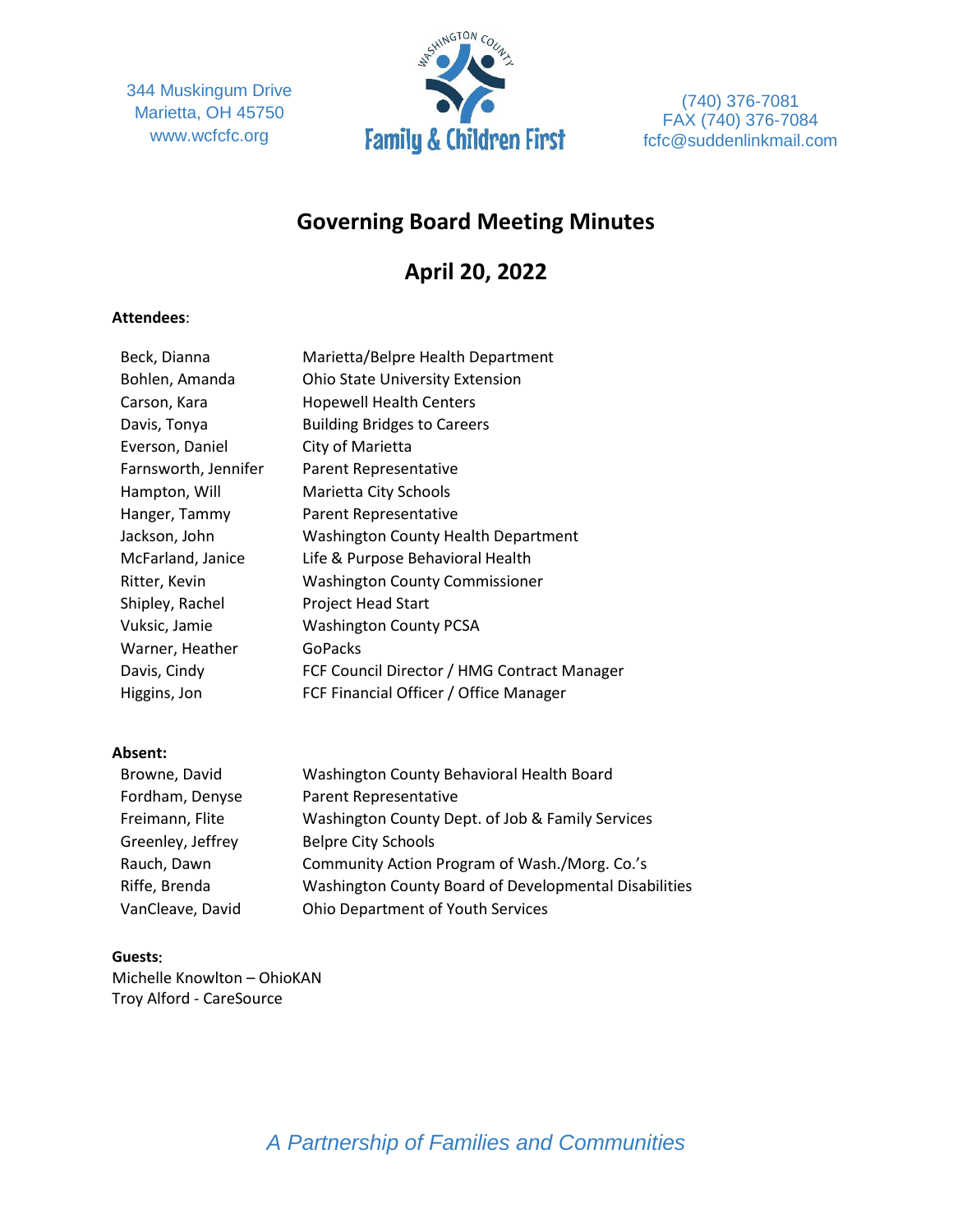344 Muskingum Drive Marietta, OH 45750 www.wcfcfc.org



(740) 376-7081 FAX (740) 376-7084 fcfc@suddenlinkmail.com

## **Governing Board Meeting Minutes**

# **April 20, 2022**

## **Attendees**:

| Beck, Dianna         | Marietta/Belpre Health Department           |
|----------------------|---------------------------------------------|
| Bohlen, Amanda       | <b>Ohio State University Extension</b>      |
| Carson, Kara         | <b>Hopewell Health Centers</b>              |
| Davis, Tonya         | <b>Building Bridges to Careers</b>          |
| Everson, Daniel      | City of Marietta                            |
| Farnsworth, Jennifer | Parent Representative                       |
| Hampton, Will        | Marietta City Schools                       |
| Hanger, Tammy        | Parent Representative                       |
| Jackson, John        | <b>Washington County Health Department</b>  |
| McFarland, Janice    | Life & Purpose Behavioral Health            |
| Ritter, Kevin        | <b>Washington County Commissioner</b>       |
| Shipley, Rachel      | Project Head Start                          |
| Vuksic, Jamie        | <b>Washington County PCSA</b>               |
| Warner, Heather      | GoPacks                                     |
| Davis, Cindy         | FCF Council Director / HMG Contract Manager |
| Higgins, Jon         | FCF Financial Officer / Office Manager      |

#### **Absent:**

| Browne, David     | Washington County Behavioral Health Board             |
|-------------------|-------------------------------------------------------|
| Fordham, Denyse   | Parent Representative                                 |
| Freimann, Flite   | Washington County Dept. of Job & Family Services      |
| Greenley, Jeffrey | <b>Belpre City Schools</b>                            |
| Rauch, Dawn       | Community Action Program of Wash./Morg. Co.'s         |
| Riffe, Brenda     | Washington County Board of Developmental Disabilities |
| VanCleave, David  | <b>Ohio Department of Youth Services</b>              |

#### **Guests**:

Michelle Knowlton – OhioKAN Troy Alford - CareSource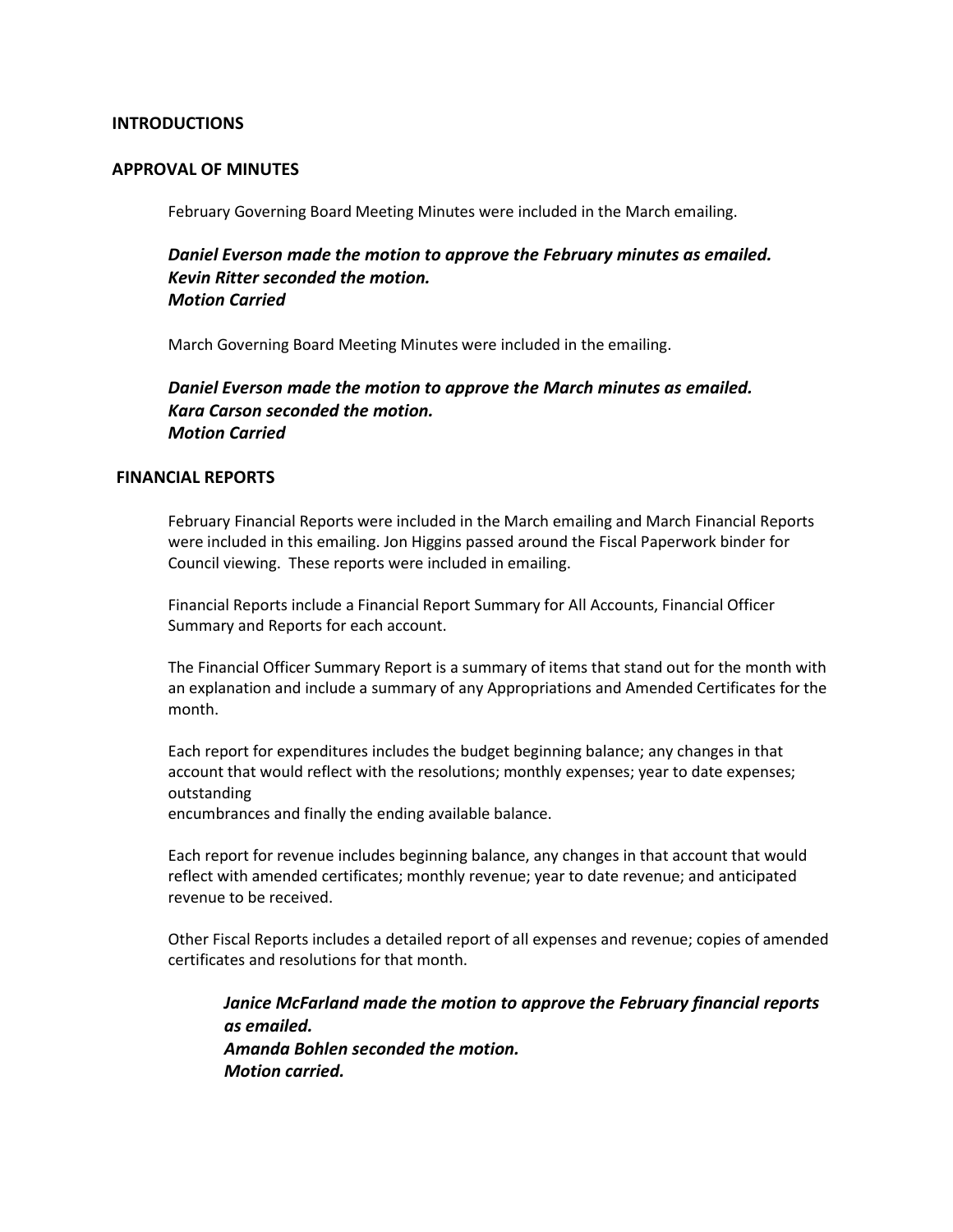#### **INTRODUCTIONS**

#### **APPROVAL OF MINUTES**

February Governing Board Meeting Minutes were included in the March emailing.

*Daniel Everson made the motion to approve the February minutes as emailed. Kevin Ritter seconded the motion. Motion Carried*

March Governing Board Meeting Minutes were included in the emailing.

*Daniel Everson made the motion to approve the March minutes as emailed. Kara Carson seconded the motion. Motion Carried*

#### **FINANCIAL REPORTS**

February Financial Reports were included in the March emailing and March Financial Reports were included in this emailing. Jon Higgins passed around the Fiscal Paperwork binder for Council viewing. These reports were included in emailing.

Financial Reports include a Financial Report Summary for All Accounts, Financial Officer Summary and Reports for each account.

The Financial Officer Summary Report is a summary of items that stand out for the month with an explanation and include a summary of any Appropriations and Amended Certificates for the month.

Each report for expenditures includes the budget beginning balance; any changes in that account that would reflect with the resolutions; monthly expenses; year to date expenses; outstanding

encumbrances and finally the ending available balance.

Each report for revenue includes beginning balance, any changes in that account that would reflect with amended certificates; monthly revenue; year to date revenue; and anticipated revenue to be received.

Other Fiscal Reports includes a detailed report of all expenses and revenue; copies of amended certificates and resolutions for that month.

*Janice McFarland made the motion to approve the February financial reports as emailed. Amanda Bohlen seconded the motion. Motion carried.*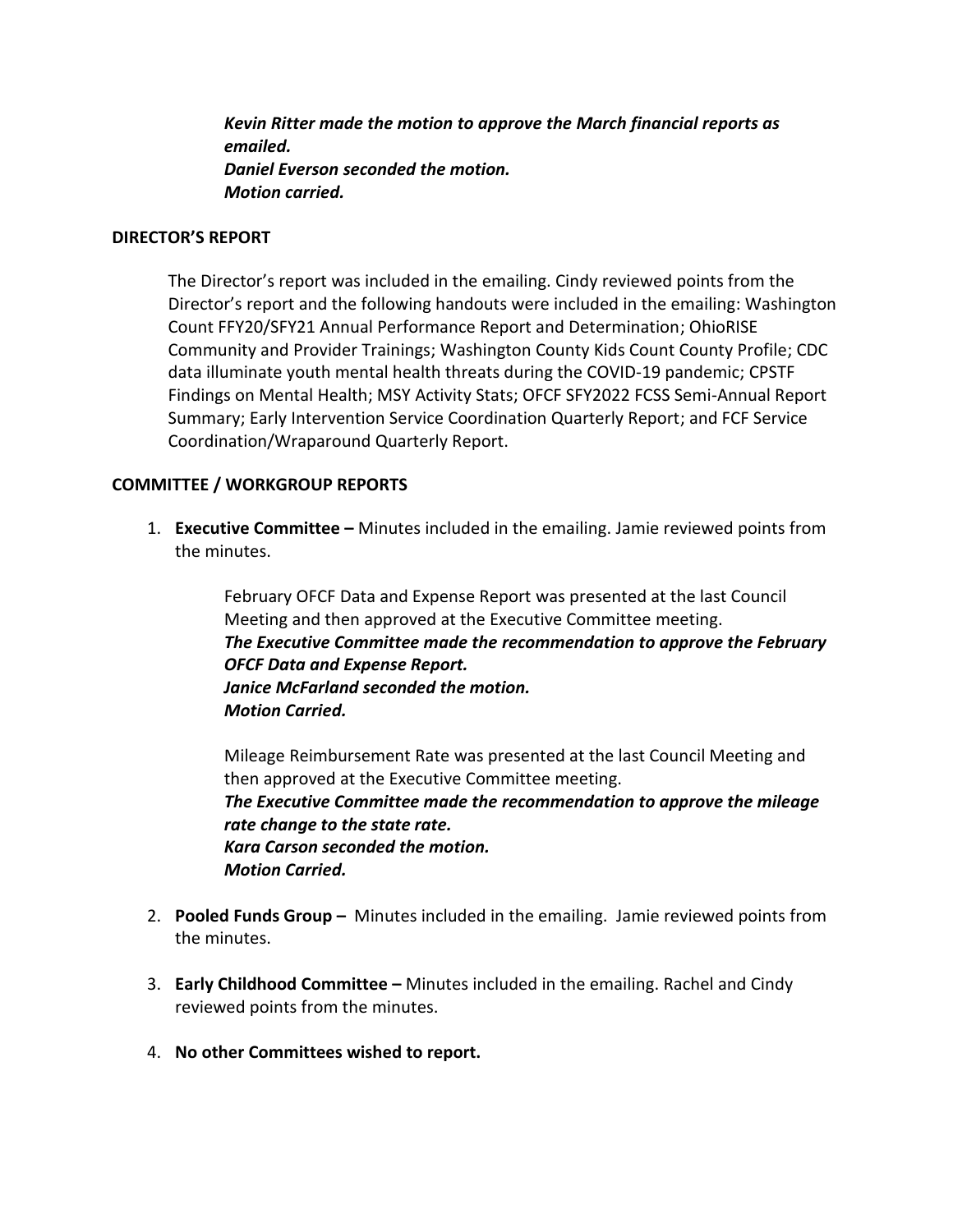*Kevin Ritter made the motion to approve the March financial reports as emailed. Daniel Everson seconded the motion. Motion carried.*

#### **DIRECTOR'S REPORT**

The Director's report was included in the emailing. Cindy reviewed points from the Director's report and the following handouts were included in the emailing: Washington Count FFY20/SFY21 Annual Performance Report and Determination; OhioRISE Community and Provider Trainings; Washington County Kids Count County Profile; CDC data illuminate youth mental health threats during the COVID-19 pandemic; CPSTF Findings on Mental Health; MSY Activity Stats; OFCF SFY2022 FCSS Semi-Annual Report Summary; Early Intervention Service Coordination Quarterly Report; and FCF Service Coordination/Wraparound Quarterly Report.

## **COMMITTEE / WORKGROUP REPORTS**

1. **Executive Committee –** Minutes included in the emailing. Jamie reviewed points from the minutes.

> February OFCF Data and Expense Report was presented at the last Council Meeting and then approved at the Executive Committee meeting. *The Executive Committee made the recommendation to approve the February OFCF Data and Expense Report. Janice McFarland seconded the motion. Motion Carried.*

Mileage Reimbursement Rate was presented at the last Council Meeting and then approved at the Executive Committee meeting. *The Executive Committee made the recommendation to approve the mileage rate change to the state rate. Kara Carson seconded the motion. Motion Carried.*

- 2. **Pooled Funds Group –** Minutes included in the emailing. Jamie reviewed points from the minutes.
- 3. **Early Childhood Committee –** Minutes included in the emailing. Rachel and Cindy reviewed points from the minutes.
- 4. **No other Committees wished to report.**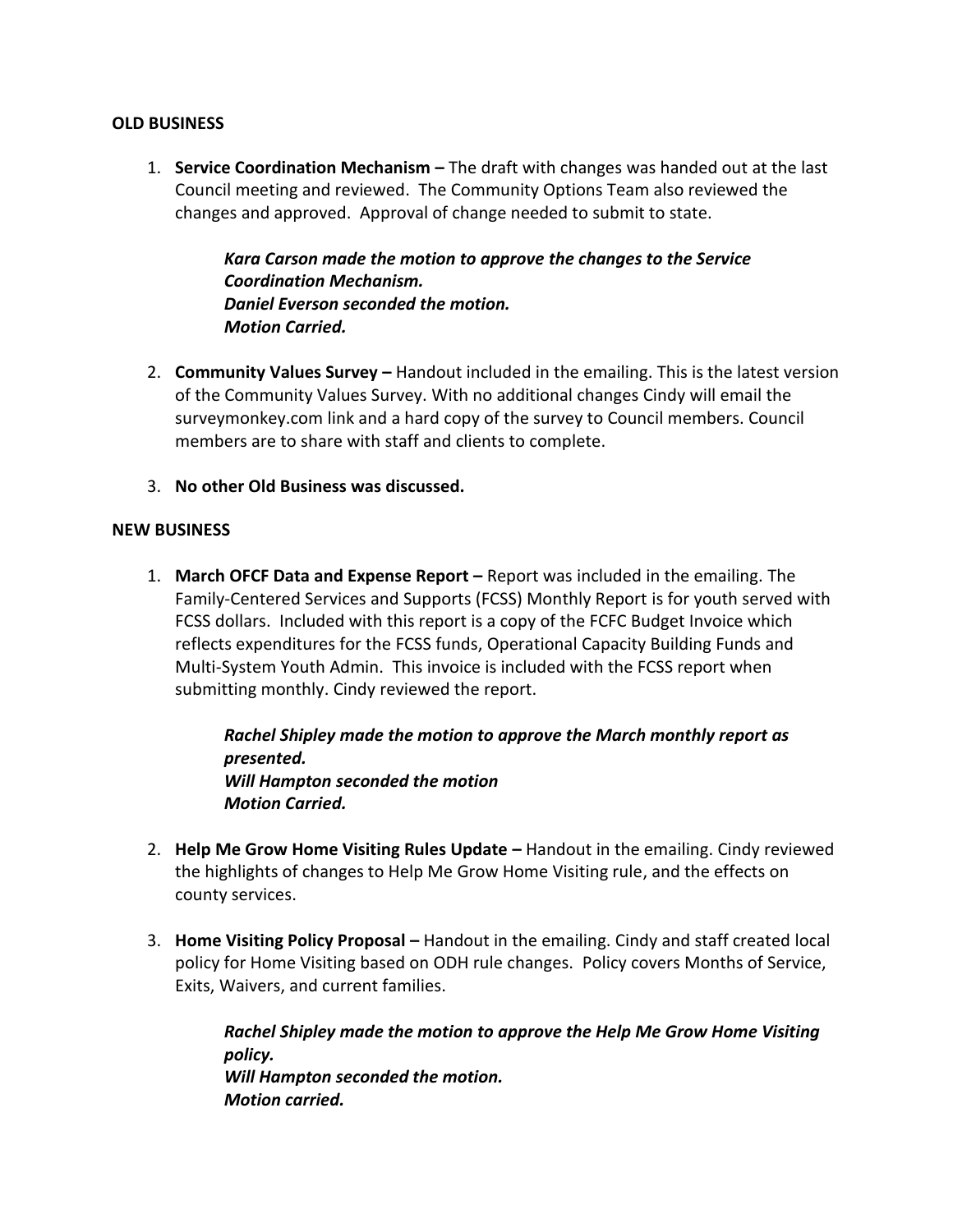## **OLD BUSINESS**

1. **Service Coordination Mechanism –** The draft with changes was handed out at the last Council meeting and reviewed. The Community Options Team also reviewed the changes and approved. Approval of change needed to submit to state.

> *Kara Carson made the motion to approve the changes to the Service Coordination Mechanism. Daniel Everson seconded the motion. Motion Carried.*

- 2. **Community Values Survey –** Handout included in the emailing. This is the latest version of the Community Values Survey. With no additional changes Cindy will email the surveymonkey.com link and a hard copy of the survey to Council members. Council members are to share with staff and clients to complete.
- 3. **No other Old Business was discussed.**

## **NEW BUSINESS**

1. **March OFCF Data and Expense Report –** Report was included in the emailing. The Family-Centered Services and Supports (FCSS) Monthly Report is for youth served with FCSS dollars. Included with this report is a copy of the FCFC Budget Invoice which reflects expenditures for the FCSS funds, Operational Capacity Building Funds and Multi-System Youth Admin. This invoice is included with the FCSS report when submitting monthly. Cindy reviewed the report.

> *Rachel Shipley made the motion to approve the March monthly report as presented. Will Hampton seconded the motion Motion Carried.*

- 2. **Help Me Grow Home Visiting Rules Update –** Handout in the emailing. Cindy reviewed the highlights of changes to Help Me Grow Home Visiting rule, and the effects on county services.
- 3. **Home Visiting Policy Proposal –** Handout in the emailing. Cindy and staff created local policy for Home Visiting based on ODH rule changes. Policy covers Months of Service, Exits, Waivers, and current families.

*Rachel Shipley made the motion to approve the Help Me Grow Home Visiting policy. Will Hampton seconded the motion. Motion carried.*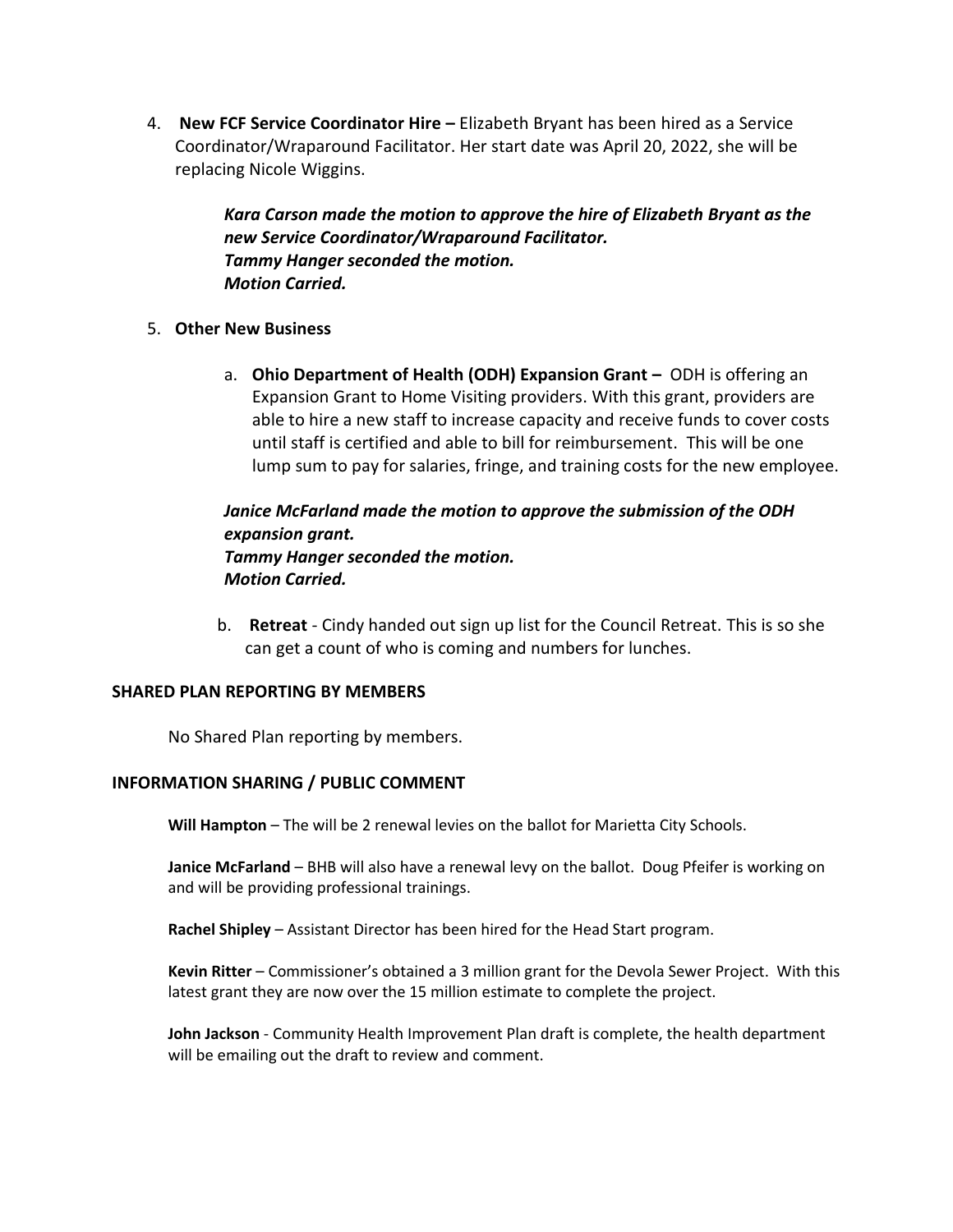4. **New FCF Service Coordinator Hire –** Elizabeth Bryant has been hired as a Service Coordinator/Wraparound Facilitator. Her start date was April 20, 2022, she will be replacing Nicole Wiggins.

> *Kara Carson made the motion to approve the hire of Elizabeth Bryant as the new Service Coordinator/Wraparound Facilitator. Tammy Hanger seconded the motion. Motion Carried.*

- 5. **Other New Business** 
	- a. **Ohio Department of Health (ODH) Expansion Grant –** ODH is offering an Expansion Grant to Home Visiting providers. With this grant, providers are able to hire a new staff to increase capacity and receive funds to cover costs until staff is certified and able to bill for reimbursement. This will be one lump sum to pay for salaries, fringe, and training costs for the new employee.

## *Janice McFarland made the motion to approve the submission of the ODH expansion grant. Tammy Hanger seconded the motion. Motion Carried.*

b. **Retreat** - Cindy handed out sign up list for the Council Retreat. This is so she can get a count of who is coming and numbers for lunches.

#### **SHARED PLAN REPORTING BY MEMBERS**

No Shared Plan reporting by members.

## **INFORMATION SHARING / PUBLIC COMMENT**

**Will Hampton** – The will be 2 renewal levies on the ballot for Marietta City Schools.

**Janice McFarland** – BHB will also have a renewal levy on the ballot. Doug Pfeifer is working on and will be providing professional trainings.

**Rachel Shipley** – Assistant Director has been hired for the Head Start program.

**Kevin Ritter** – Commissioner's obtained a 3 million grant for the Devola Sewer Project. With this latest grant they are now over the 15 million estimate to complete the project.

**John Jackson** - Community Health Improvement Plan draft is complete, the health department will be emailing out the draft to review and comment.